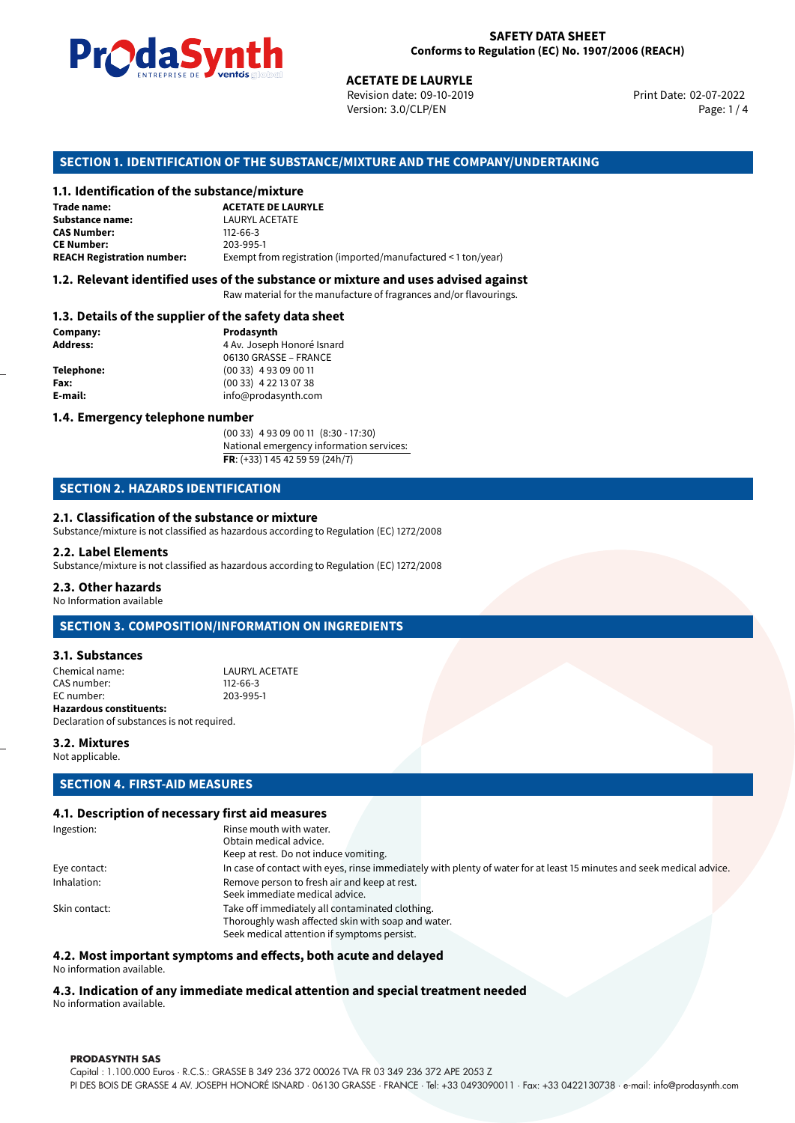

Revision date: 09-10-2019 Version: 3.0/CLP/EN Page: 1 / 4

Print Date: 02-07-2022

### **SECTION 1. IDENTIFICATION OF THE SUBSTANCE/MIXTURE AND THE COMPANY/UNDERTAKING**

### **1.1. Identification of the substance/mixture**

|                                              | LINING THE LIST OF STREET WILD SERVICE.<br><b>ACETATE DE LAURYLE</b><br>Revision date: 09-10-2019<br>Version: 3.0/CLP/EN |
|----------------------------------------------|--------------------------------------------------------------------------------------------------------------------------|
|                                              | SECTION 1. IDENTIFICATION OF THE SUBSTANCE/MIXTURE AND THE COMPANY/U                                                     |
| 1.1. Identification of the substance/mixture |                                                                                                                          |
| Trade name:                                  | <b>ACETATE DE LAURYLE</b>                                                                                                |
| Substance name:                              | <b>LAURYL ACETATE</b>                                                                                                    |
| <b>CAS Number:</b>                           | $112 - 66 - 3$                                                                                                           |
| <b>CE Number:</b>                            | 203-995-1                                                                                                                |
| <b>REACH Registration number:</b>            | Exempt from registration (imported/manufactured < 1 ton/year)                                                            |
|                                              |                                                                                                                          |

### **1.2. Relevant identified uses of the substance or mixture and uses advised against**

Raw material for the manufacture of fragrances and/or flavourings.

### **1.3. Details of the supplier of the safety data sheet**

| Company:          | Prodasynth                 |
|-------------------|----------------------------|
| <b>Address:</b>   | 4 Av. Joseph Honoré Isnard |
|                   | 06130 GRASSE - FRANCE      |
| <b>Telephone:</b> | $(0033)$ 4 93 09 00 11     |
| Fax:              | $(0033)$ 4 22 13 07 38     |
| E-mail:           | info@prodasynth.com        |
|                   |                            |

### **1.4. Emergency telephone number**

(00 33) 4 93 09 00 11 (8:30 - 17:30) National emergency information services: **FR**: (+33) 1 45 42 59 59 (24h/7)

### **SECTION 2. HAZARDS IDENTIFICATION**

### **2.1. Classification of the substance or mixture**

Substance/mixture is not classified as hazardous according to Regulation (EC) 1272/2008

### **2.2. Label Elements**

Substance/mixture is not classified as hazardous according to Regulation (EC) 1272/2008

### **2.3. Other hazards**

No Information available

### **SECTION 3. COMPOSITION/INFORMATION ON INGREDIENTS**

### **3.1. Substances**

| <b>Hazardous constituents:</b> |                |
|--------------------------------|----------------|
| EC number:                     | 203-995-1      |
| CAS number:                    | $112 - 66 - 3$ |
| Chemical name:                 | LAURYL ACETATE |

Declaration of substances is not required.

### **3.2. Mixtures**

Not applicable.

### **SECTION 4. FIRST-AID MEASURES**

### **4.1. Description of necessary first aid measures**

| Ingestion:    | Rinse mouth with water.                                                                                               |
|---------------|-----------------------------------------------------------------------------------------------------------------------|
|               | Obtain medical advice.                                                                                                |
|               | Keep at rest. Do not induce vomiting.                                                                                 |
| Eye contact:  | In case of contact with eyes, rinse immediately with plenty of water for at least 15 minutes and seek medical advice. |
| Inhalation:   | Remove person to fresh air and keep at rest.                                                                          |
|               | Seek immediate medical advice.                                                                                        |
| Skin contact: | Take off immediately all contaminated clothing.                                                                       |
|               | Thoroughly wash affected skin with soap and water.                                                                    |
|               | Seek medical attention if symptoms persist.                                                                           |
|               |                                                                                                                       |

### **4.2. Most important symptoms and effects, both acute and delayed**

No information available.

# **4.3. Indication of any immediate medical attention and special treatment needed**

No information available.

### **PRODASYNTH SAS**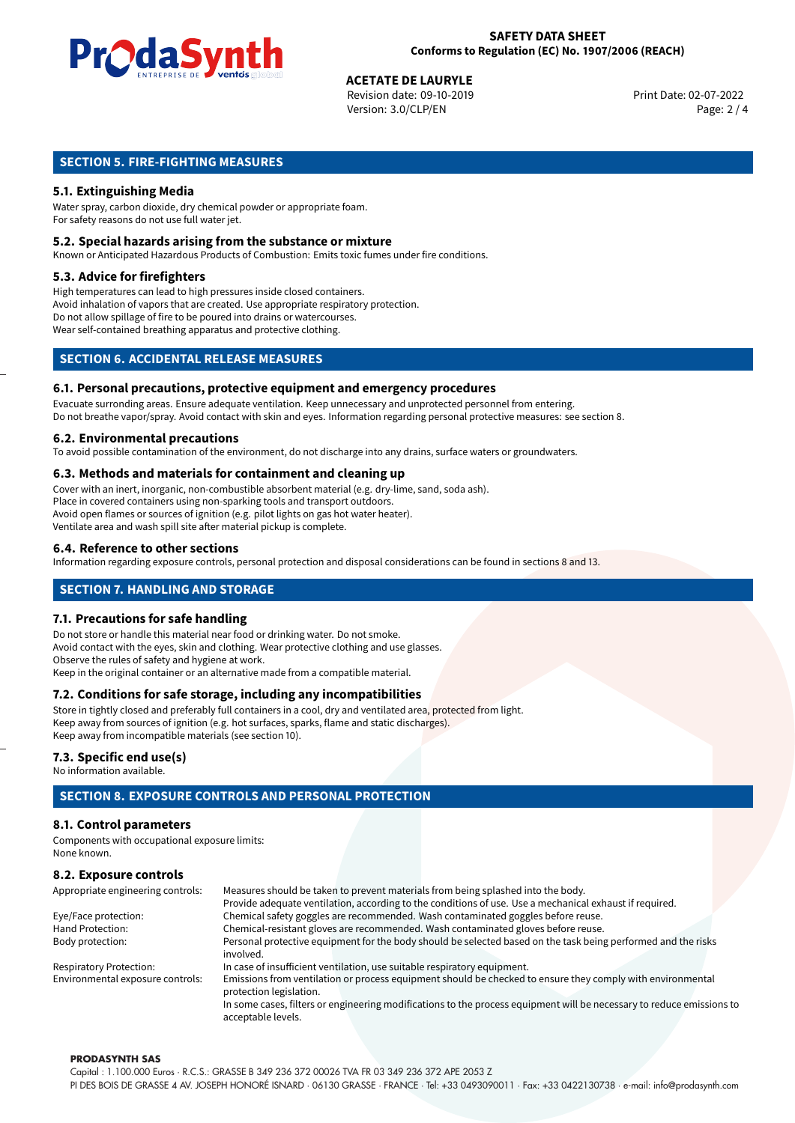

# **ACETATE DE LAURYLE**<br>
Revision date: 09-10-2019<br> **Print Date: 02-07-2022**

Revision date: 09-10-2019 Version: 3.0/CLP/EN Page: 2 / 4

## **SECTION 5. FIRE-FIGHTING MEASURES**

### **5.1. Extinguishing Media**

Water spray, carbon dioxide, dry chemical powder or appropriate foam. For safety reasons do not use full water jet.

### **5.2. Special hazards arising from the substance or mixture**

Known or Anticipated Hazardous Products of Combustion: Emits toxic fumes under fire conditions.

### **5.3. Advice for firefighters**

High temperatures can lead to high pressures inside closed containers. Avoid inhalation of vapors that are created. Use appropriate respiratory protection. Do not allow spillage of fire to be poured into drains or watercourses. Wear self-contained breathing apparatus and protective clothing.

### **SECTION 6. ACCIDENTAL RELEASE MEASURES**

### **6.1. Personal precautions, protective equipment and emergency procedures**

Evacuate surronding areas. Ensure adequate ventilation. Keep unnecessary and unprotected personnel from entering. Do not breathe vapor/spray. Avoid contact with skin and eyes. Information regarding personal protective measures: see section 8.

### **6.2. Environmental precautions**

To avoid possible contamination of the environment, do not discharge into any drains, surface waters or groundwaters.

### **6.3. Methods and materials for containment and cleaning up**

Cover with an inert, inorganic, non-combustible absorbent material (e.g. dry-lime, sand, soda ash). Place in covered containers using non-sparking tools and transport outdoors. Avoid open flames or sources of ignition (e.g. pilot lights on gas hot water heater). Ventilate area and wash spill site after material pickup is complete.

### **6.4. Reference to other sections**

Information regarding exposure controls, personal protection and disposal considerations can be found in sections 8 and 13.

### **SECTION 7. HANDLING AND STORAGE**

### **7.1. Precautions for safe handling**

Do not store or handle this material near food or drinking water. Do not smoke. Avoid contact with the eyes, skin and clothing. Wear protective clothing and use glasses. Observe the rules of safety and hygiene at work. Keep in the original container or an alternative made from a compatible material.

# **7.2. Conditions for safe storage, including any incompatibilities**

Store in tightly closed and preferably full containers in a cool, dry and ventilated area, protected from light. Keep away from sources of ignition (e.g. hot surfaces, sparks, flame and static discharges). Keep away from incompatible materials (see section 10).

### **7.3. Specific end use(s)**

No information available.

# **SECTION 8. EXPOSURE CONTROLS AND PERSONAL PROTECTION**

### **8.1. Control parameters**

Components with occupational exposure limits: None known.

# **8.2. Exposure controls**

| Appropriate engineering controls: | Measures should be taken to prevent materials from being splashed into the body.                                                            |  |  |
|-----------------------------------|---------------------------------------------------------------------------------------------------------------------------------------------|--|--|
|                                   | Provide adequate ventilation, according to the conditions of use. Use a mechanical exhaust if required.                                     |  |  |
| Eye/Face protection:              | Chemical safety goggles are recommended. Wash contaminated goggles before reuse.                                                            |  |  |
| Hand Protection:                  | Chemical-resistant gloves are recommended. Wash contaminated gloves before reuse.                                                           |  |  |
| Body protection:                  | Personal protective equipment for the body should be selected based on the task being performed and the risks                               |  |  |
|                                   | involved.                                                                                                                                   |  |  |
| <b>Respiratory Protection:</b>    | In case of insufficient ventilation, use suitable respiratory equipment.                                                                    |  |  |
| Environmental exposure controls:  | Emissions from ventilation or process equipment should be checked to ensure they comply with environmental<br>protection legislation.       |  |  |
|                                   | In some cases, filters or engineering modifications to the process equipment will be necessary to reduce emissions to<br>acceptable levels. |  |  |

### **PRODASYNTH SAS**

Capital : 1.100.000 Euros · R.C.S.: GRASSE B 349 236 372 00026 TVA FR 03 349 236 372 APE 2053 Z PI DES BOIS DE GRASSE 4 AV. JOSEPH HONORÉ ISNARD · 06130 GRASSE · FRANCE · Tel: +33 0493090011 · Fax: +33 0422130738 · e-mail: info@prodasynth.com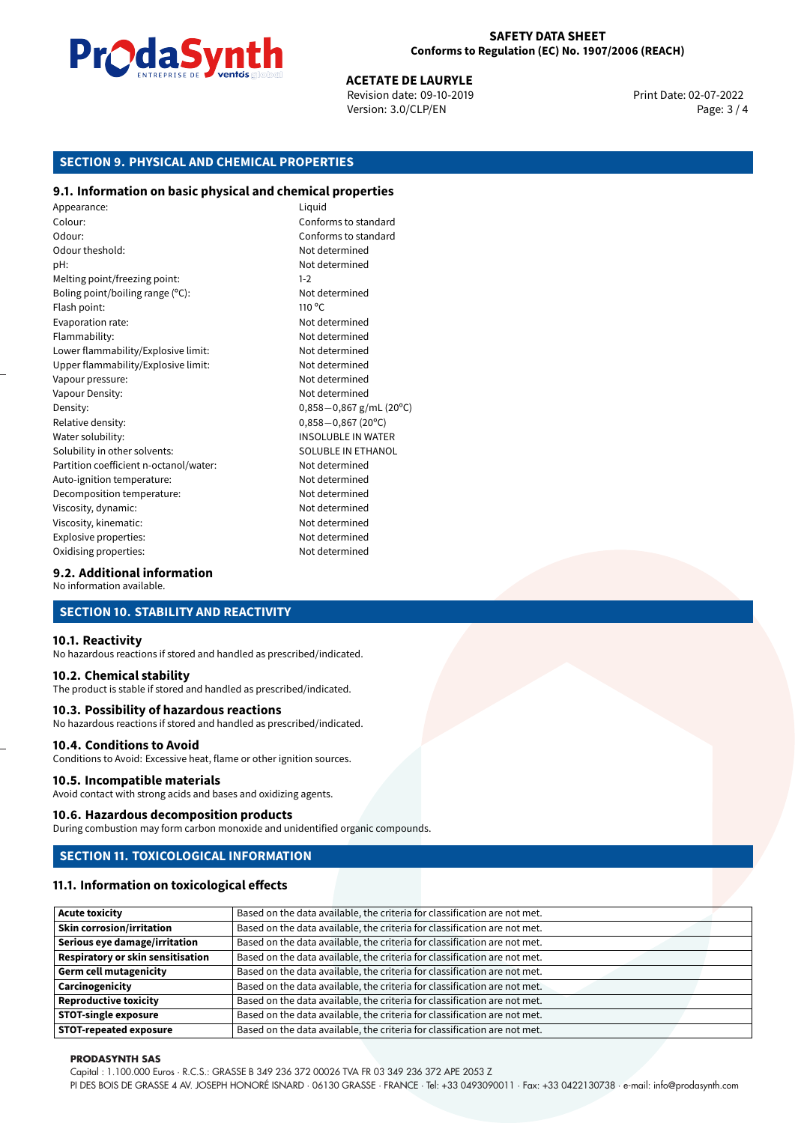

Version: 3.0/CLP/EN Page: 3 / 4

**ACETATE DE LAURYLE**<br>Revision date: 09-10-2019 Print Date: 02-07-2022

# **SECTION 9. PHYSICAL AND CHEMICAL PROPERTIES**

### **9.1. Information on basic physical and chemical properties**

Appearance: Liquid Colour: Conforms to standard Odour: Conforms to standard Odour theshold: Not determined pH: Not determined Melting point/freezing point: 1-2 Boling point/boiling range (°C): Not determined Flash point: 110 °C Evaporation rate: Not determined Flammability: Not determined Lower flammability/Explosive limit: Not determined Upper flammability/Explosive limit: Not determined Vapour pressure: Vapour pressure: Not determined Vapour Density: Not determined Density: 0,858−0,867 g/mL (20°C)<br>Relative density: 0,858−0,867 (20°C) Relative density: 0,858−0,867 (20°C)<br>Water solubility: 0,858−0,867 (20°C) Solubility in other solvents: SOLUBLE IN ETHANOL Partition coefficient n-octanol/water: Not determined Auto-ignition temperature: Not determined Decomposition temperature: Not determined Viscosity, dynamic:  $\blacksquare$ Viscosity, kinematic: Not determined Explosive properties: Not determined Oxidising properties: Not determined

**INSOLUBLE IN WATER** 

### **9.2. Additional information**

No information available.

### **SECTION 10. STABILITY AND REACTIVITY**

### **10.1. Reactivity**

No hazardous reactions if stored and handled as prescribed/indicated.

### **10.2. Chemical stability**

The product is stable if stored and handled as prescribed/indicated.

### **10.3. Possibility of hazardous reactions**

No hazardous reactions if stored and handled as prescribed/indicated.

### **10.4. Conditions to Avoid**

Conditions to Avoid: Excessive heat, flame or other ignition sources.

### **10.5. Incompatible materials**

Avoid contact with strong acids and bases and oxidizing agents.

### **10.6. Hazardous decomposition products**

During combustion may form carbon monoxide and unidentified organic compounds.

### **SECTION 11. TOXICOLOGICAL INFORMATION**

### **11.1. Information on toxicological effects**

| <b>Acute toxicity</b>                    | Based on the data available, the criteria for classification are not met. |
|------------------------------------------|---------------------------------------------------------------------------|
| <b>Skin corrosion/irritation</b>         | Based on the data available, the criteria for classification are not met. |
| Serious eye damage/irritation            | Based on the data available, the criteria for classification are not met. |
| <b>Respiratory or skin sensitisation</b> | Based on the data available, the criteria for classification are not met. |
| <b>Germ cell mutagenicity</b>            | Based on the data available, the criteria for classification are not met. |
| Carcinogenicity                          | Based on the data available, the criteria for classification are not met. |
| <b>Reproductive toxicity</b>             | Based on the data available, the criteria for classification are not met. |
| <b>STOT-single exposure</b>              | Based on the data available, the criteria for classification are not met. |
| <b>STOT-repeated exposure</b>            | Based on the data available, the criteria for classification are not met. |

### **PRODASYNTH SAS**

Capital : 1.100.000 Euros · R.C.S.: GRASSE B 349 236 372 00026 TVA FR 03 349 236 372 APE 2053 Z

PI DES BOIS DE GRASSE 4 AV. JOSEPH HONORÉ ISNARD · 06130 GRASSE · FRANCE · Tel: +33 0493090011 · Fax: +33 0422130738 · e-mail: info@prodasynth.com